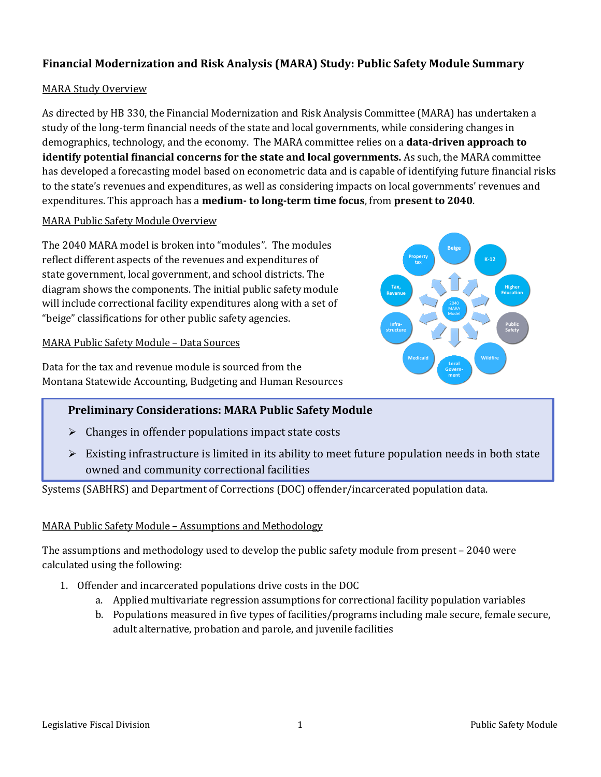## **Financial Modernization and Risk Analysis (MARA) Study: Public Safety Module Summary**

#### MARA Study Overview

As directed by HB 330, the Financial Modernization and Risk Analysis Committee (MARA) has undertaken a study of the long-term financial needs of the state and local governments, while considering changes in demographics, technology, and the economy. The MARA committee relies on a **data-driven approach to identify potential financial concerns for the state and local governments.** As such, the MARA committee has developed a forecasting model based on econometric data and is capable of identifying future financial risks to the state's revenues and expenditures, as well as considering impacts on local governments' revenues and expenditures. This approach has a **medium- to long-term time focus**, from **present to 2040**.

### MARA Public Safety Module Overview

The 2040 MARA model is broken into "modules". The modules reflect different aspects of the revenues and expenditures of state government, local government, and school districts. The diagram shows the components. The initial public safety module will include correctional facility expenditures along with a set of "beige" classifications for other public safety agencies.

#### MARA Public Safety Module – Data Sources

Data for the tax and revenue module is sourced from the Montana Statewide Accounting, Budgeting and Human Resources

#### MARA Model **Beige K-12 Higher Education Public Safety Wildfire Local Government Medicaid Infrastructure Tax, Revenue Property tax**

## **Preliminary Considerations: MARA Public Safety Module**

- $\triangleright$  Changes in offender populations impact state costs
- $\triangleright$  Existing infrastructure is limited in its ability to meet future population needs in both state owned and community correctional facilities

Systems (SABHRS) and Department of Corrections (DOC) offender/incarcerated population data.

#### MARA Public Safety Module – Assumptions and Methodology

The assumptions and methodology used to develop the public safety module from present – 2040 were calculated using the following:

- 1. Offender and incarcerated populations drive costs in the DOC
	- a. Applied multivariate regression assumptions for correctional facility population variables
	- b. Populations measured in five types of facilities/programs including male secure, female secure, adult alternative, probation and parole, and juvenile facilities